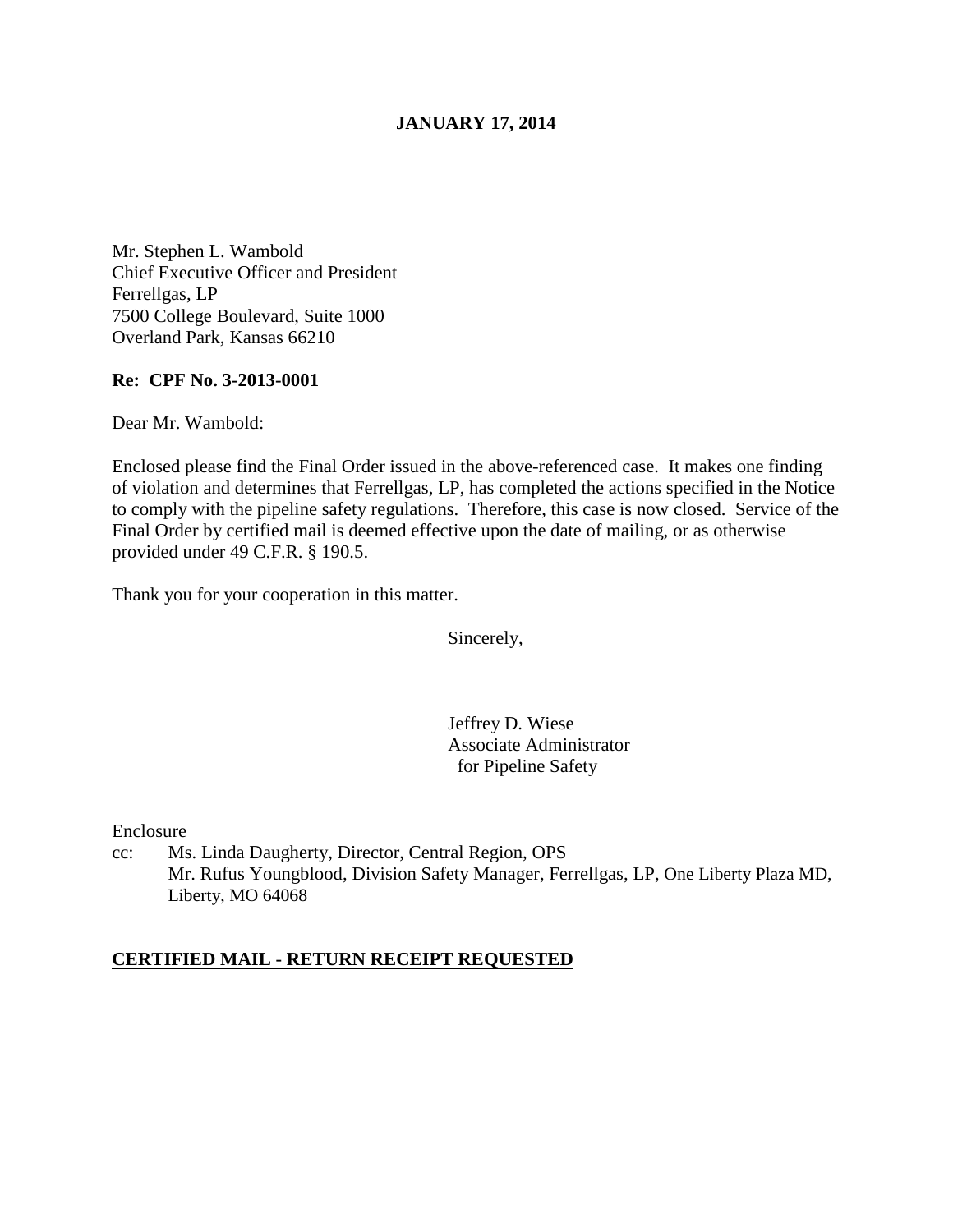## **JANUARY 17, 2014**

Mr. Stephen L. Wambold Chief Executive Officer and President Ferrellgas, LP 7500 College Boulevard, Suite 1000 Overland Park, Kansas 66210

### **Re: CPF No. 3-2013-0001**

Dear Mr. Wambold:

Enclosed please find the Final Order issued in the above-referenced case. It makes one finding of violation and determines that Ferrellgas, LP, has completed the actions specified in the Notice to comply with the pipeline safety regulations. Therefore, this case is now closed. Service of the Final Order by certified mail is deemed effective upon the date of mailing, or as otherwise provided under 49 C.F.R. § 190.5.

Thank you for your cooperation in this matter.

Sincerely,

Jeffrey D. Wiese Associate Administrator for Pipeline Safety

Enclosure

cc: Ms. Linda Daugherty, Director, Central Region, OPS Mr. Rufus Youngblood, Division Safety Manager, Ferrellgas, LP, One Liberty Plaza MD, Liberty, MO 64068

## **CERTIFIED MAIL - RETURN RECEIPT REQUESTED**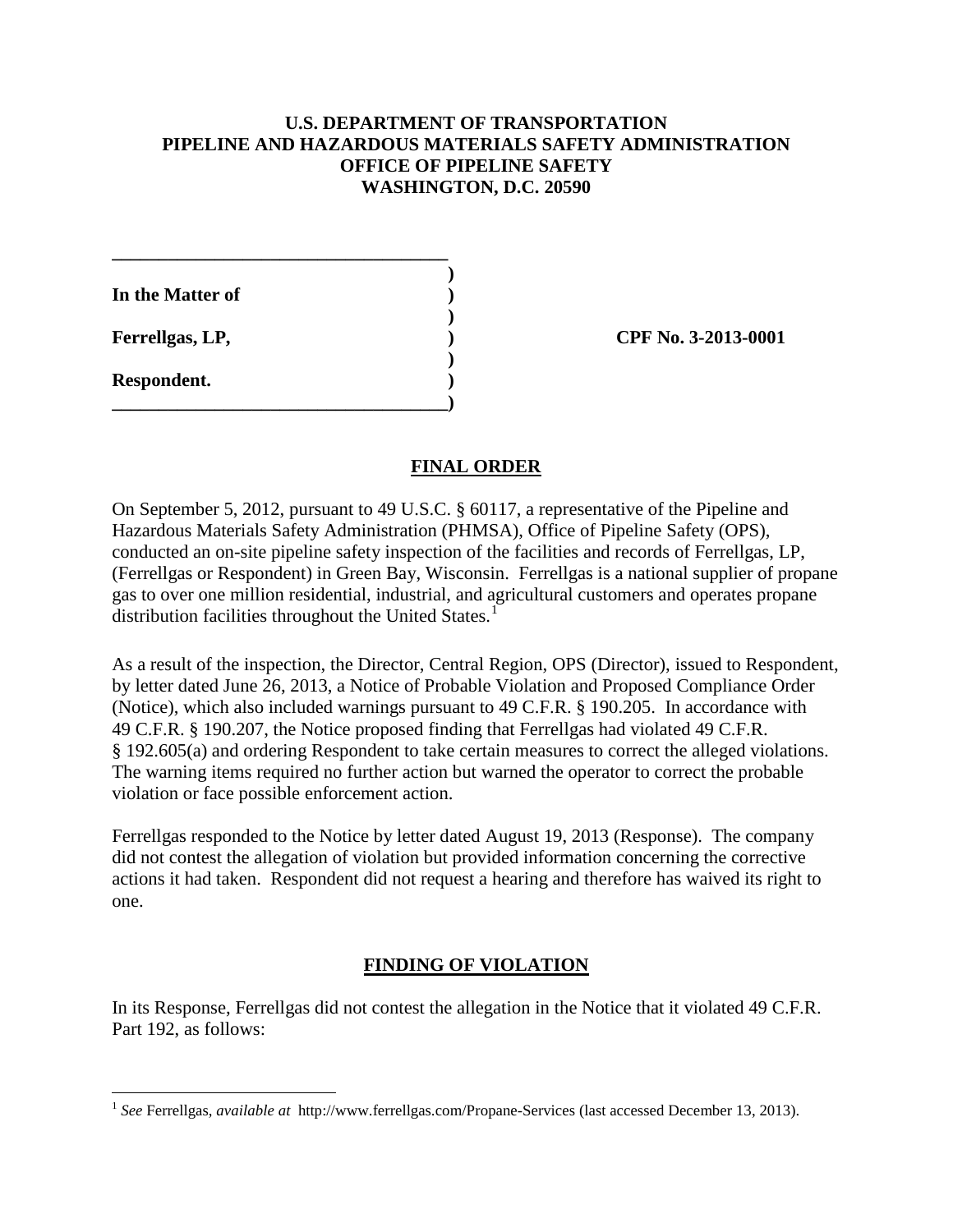## **U.S. DEPARTMENT OF TRANSPORTATION PIPELINE AND HAZARDOUS MATERIALS SAFETY ADMINISTRATION OFFICE OF PIPELINE SAFETY WASHINGTON, D.C. 20590**

 **) In the Matter of )** 

**\_\_\_\_\_\_\_\_\_\_\_\_\_\_\_\_\_\_\_\_\_\_\_\_\_\_\_\_\_\_\_\_\_\_\_\_** 

 **)** 

 **)** 

**\_\_\_\_\_\_\_\_\_\_\_\_\_\_\_\_\_\_\_\_\_\_\_\_\_\_\_\_\_\_\_\_\_\_\_\_)** 

**Respondent. )** 

 $\overline{a}$ 

**Ferrellgas, LP,**  (2013-0001)

# **FINAL ORDER**

On September 5, 2012, pursuant to 49 U.S.C. § 60117, a representative of the Pipeline and Hazardous Materials Safety Administration (PHMSA), Office of Pipeline Safety (OPS), conducted an on-site pipeline safety inspection of the facilities and records of Ferrellgas, LP, (Ferrellgas or Respondent) in Green Bay, Wisconsin. Ferrellgas is a national supplier of propane gas to over one million residential, industrial, and agricultural customers and operates propane distribution facilities throughout the United States.<sup>1</sup>

As a result of the inspection, the Director, Central Region, OPS (Director), issued to Respondent, by letter dated June 26, 2013, a Notice of Probable Violation and Proposed Compliance Order (Notice), which also included warnings pursuant to 49 C.F.R. § 190.205. In accordance with 49 C.F.R. § 190.207, the Notice proposed finding that Ferrellgas had violated 49 C.F.R. § 192.605(a) and ordering Respondent to take certain measures to correct the alleged violations. The warning items required no further action but warned the operator to correct the probable violation or face possible enforcement action.

Ferrellgas responded to the Notice by letter dated August 19, 2013 (Response). The company did not contest the allegation of violation but provided information concerning the corrective actions it had taken. Respondent did not request a hearing and therefore has waived its right to one.

# **FINDING OF VIOLATION**

In its Response, Ferrellgas did not contest the allegation in the Notice that it violated 49 C.F.R. Part 192, as follows:

<sup>1</sup> *See* Ferrellgas, *available at* http://www.ferrellgas.com/Propane-Services (last accessed December 13, 2013).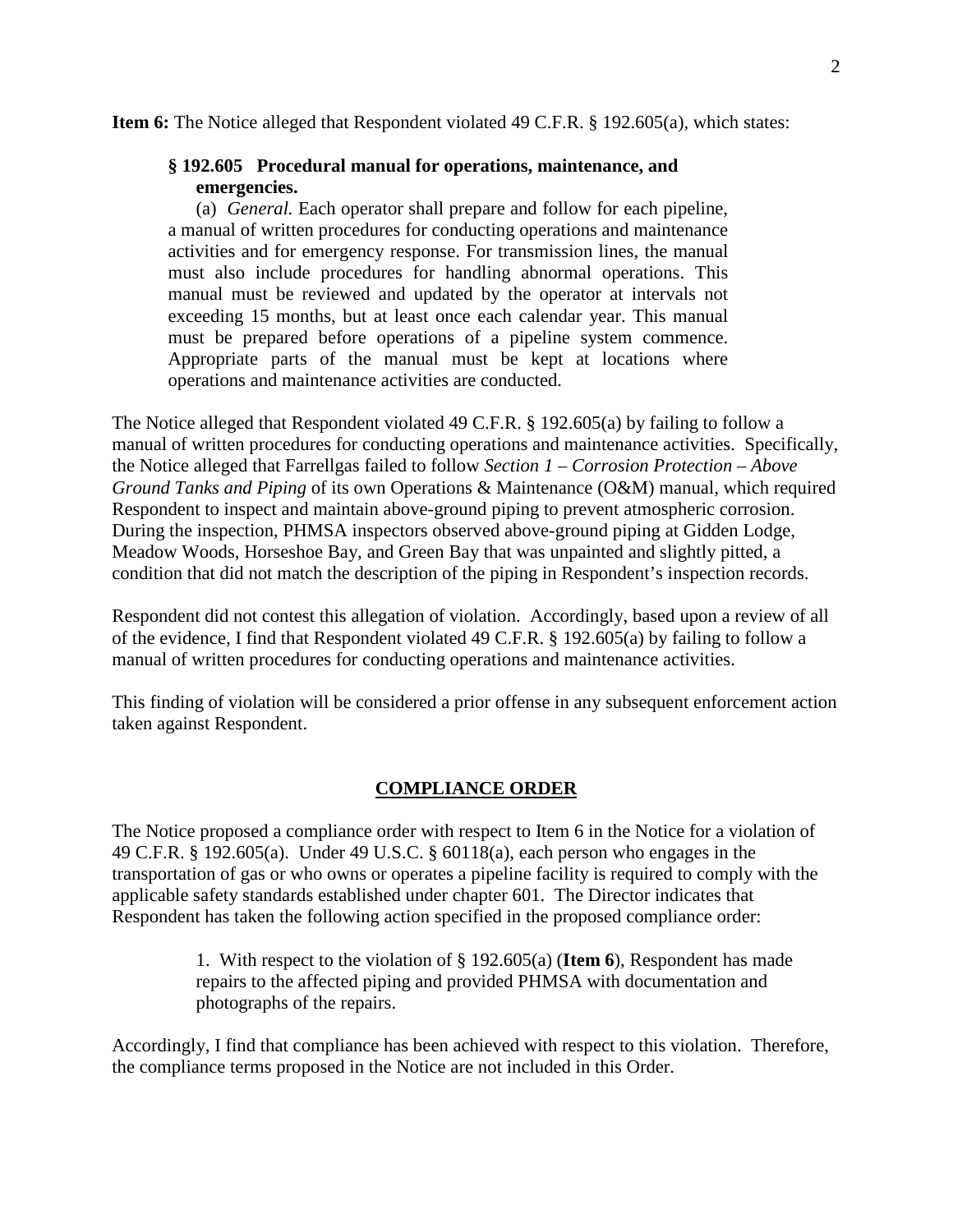**Item 6:** The Notice alleged that Respondent violated 49 C.F.R. § 192.605(a), which states:

### **§ 192.605 Procedural manual for operations, maintenance, and emergencies.**

(a) *General.* Each operator shall prepare and follow for each pipeline, a manual of written procedures for conducting operations and maintenance activities and for emergency response. For transmission lines, the manual must also include procedures for handling abnormal operations. This manual must be reviewed and updated by the operator at intervals not exceeding 15 months, but at least once each calendar year. This manual must be prepared before operations of a pipeline system commence. Appropriate parts of the manual must be kept at locations where operations and maintenance activities are conducted.

The Notice alleged that Respondent violated 49 C.F.R. § 192.605(a) by failing to follow a manual of written procedures for conducting operations and maintenance activities. Specifically, the Notice alleged that Farrellgas failed to follow *Section 1 – Corrosion Protection – Above Ground Tanks and Piping* of its own Operations & Maintenance (O&M) manual, which required Respondent to inspect and maintain above-ground piping to prevent atmospheric corrosion. During the inspection, PHMSA inspectors observed above-ground piping at Gidden Lodge, Meadow Woods, Horseshoe Bay, and Green Bay that was unpainted and slightly pitted, a condition that did not match the description of the piping in Respondent's inspection records.

Respondent did not contest this allegation of violation. Accordingly, based upon a review of all of the evidence, I find that Respondent violated 49 C.F.R. § 192.605(a) by failing to follow a manual of written procedures for conducting operations and maintenance activities.

This finding of violation will be considered a prior offense in any subsequent enforcement action taken against Respondent.

## **COMPLIANCE ORDER**

The Notice proposed a compliance order with respect to Item 6 in the Notice for a violation of 49 C.F.R. § 192.605(a). Under 49 U.S.C. § 60118(a), each person who engages in the transportation of gas or who owns or operates a pipeline facility is required to comply with the applicable safety standards established under chapter 601. The Director indicates that Respondent has taken the following action specified in the proposed compliance order:

> 1. With respect to the violation of § 192.605(a) (**Item 6**), Respondent has made repairs to the affected piping and provided PHMSA with documentation and photographs of the repairs.

Accordingly, I find that compliance has been achieved with respect to this violation. Therefore, the compliance terms proposed in the Notice are not included in this Order.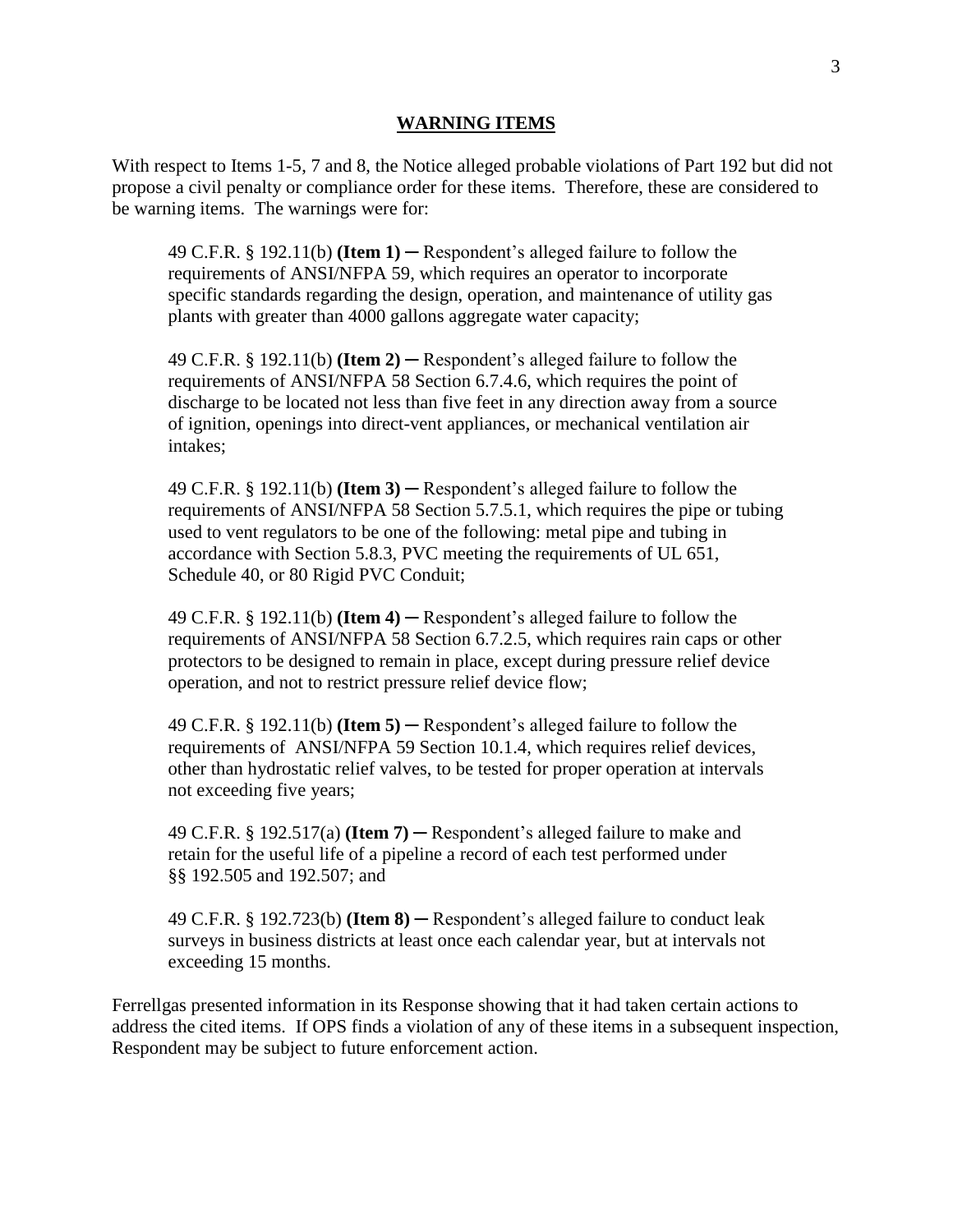#### **WARNING ITEMS**

With respect to Items 1-5, 7 and 8, the Notice alleged probable violations of Part 192 but did not propose a civil penalty or compliance order for these items. Therefore, these are considered to be warning items. The warnings were for:

49 C.F.R.  $\S$  192.11(b) **(Item 1)** — Respondent's alleged failure to follow the requirements of ANSI/NFPA 59, which requires an operator to incorporate specific standards regarding the design, operation, and maintenance of utility gas plants with greater than 4000 gallons aggregate water capacity;

49 C.F.R. § 192.11(b) **(Item 2)** ─ Respondent's alleged failure to follow the requirements of ANSI/NFPA 58 Section 6.7.4.6, which requires the point of discharge to be located not less than five feet in any direction away from a source of ignition, openings into direct-vent appliances, or mechanical ventilation air intakes;

49 C.F.R. § 192.11(b) **(Item 3)** ─ Respondent's alleged failure to follow the requirements of ANSI/NFPA 58 Section 5.7.5.1, which requires the pipe or tubing used to vent regulators to be one of the following: metal pipe and tubing in accordance with Section 5.8.3, PVC meeting the requirements of UL 651, Schedule 40, or 80 Rigid PVC Conduit;

49 C.F.R. § 192.11(b) **(Item 4)** ─ Respondent's alleged failure to follow the requirements of ANSI/NFPA 58 Section 6.7.2.5, which requires rain caps or other protectors to be designed to remain in place, except during pressure relief device operation, and not to restrict pressure relief device flow;

49 C.F.R. § 192.11(b) **(Item 5)** ─ Respondent's alleged failure to follow the requirements of ANSI/NFPA 59 Section 10.1.4, which requires relief devices, other than hydrostatic relief valves, to be tested for proper operation at intervals not exceeding five years;

49 C.F.R. § 192.517(a) **(Item 7)** ─ Respondent's alleged failure to make and retain for the useful life of a pipeline a record of each test performed under §§ 192.505 and 192.507; and

49 C.F.R. § 192.723(b) **(Item 8)** ─ Respondent's alleged failure to conduct leak surveys in business districts at least once each calendar year, but at intervals not exceeding 15 months.

Ferrellgas presented information in its Response showing that it had taken certain actions to address the cited items. If OPS finds a violation of any of these items in a subsequent inspection, Respondent may be subject to future enforcement action.